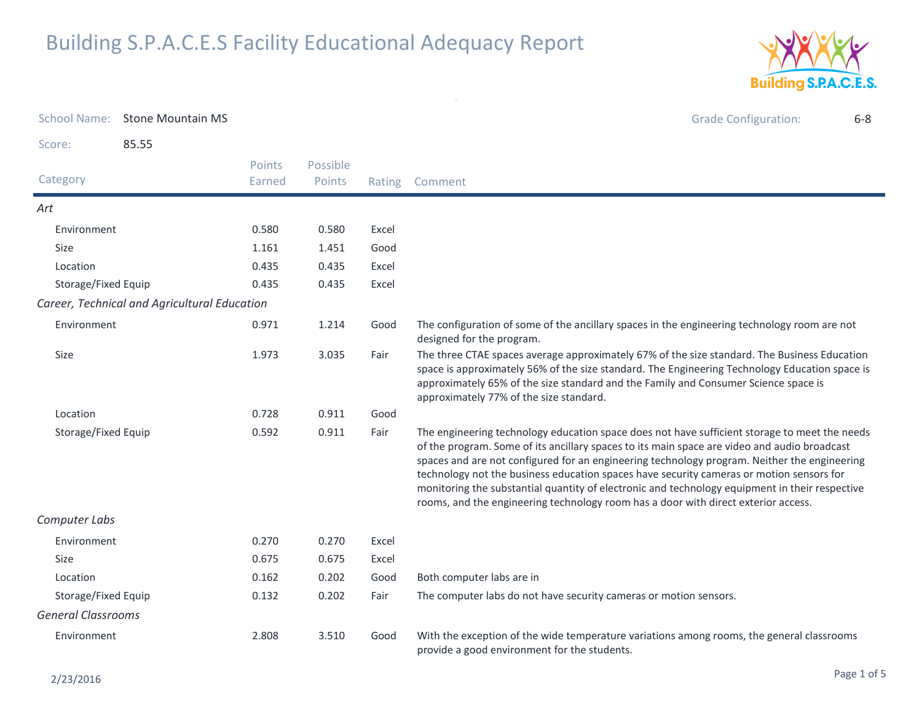

| <b>School Name:</b>       | <b>Stone Mountain MS</b>                     |                  |                    |        | <b>Grade Configuration:</b><br>$6 - 8$                                                                                                                                                                                                                                                                                                                                                                                                                                                                                                                                            |
|---------------------------|----------------------------------------------|------------------|--------------------|--------|-----------------------------------------------------------------------------------------------------------------------------------------------------------------------------------------------------------------------------------------------------------------------------------------------------------------------------------------------------------------------------------------------------------------------------------------------------------------------------------------------------------------------------------------------------------------------------------|
| Score:                    | 85.55                                        |                  |                    |        |                                                                                                                                                                                                                                                                                                                                                                                                                                                                                                                                                                                   |
| Category                  |                                              | Points<br>Earned | Possible<br>Points | Rating | Comment                                                                                                                                                                                                                                                                                                                                                                                                                                                                                                                                                                           |
| Art                       |                                              |                  |                    |        |                                                                                                                                                                                                                                                                                                                                                                                                                                                                                                                                                                                   |
| Environment               |                                              | 0.580            | 0.580              | Excel  |                                                                                                                                                                                                                                                                                                                                                                                                                                                                                                                                                                                   |
| Size                      |                                              | 1.161            | 1.451              | Good   |                                                                                                                                                                                                                                                                                                                                                                                                                                                                                                                                                                                   |
| Location                  |                                              | 0.435            | 0.435              | Excel  |                                                                                                                                                                                                                                                                                                                                                                                                                                                                                                                                                                                   |
| Storage/Fixed Equip       |                                              | 0.435            | 0.435              | Excel  |                                                                                                                                                                                                                                                                                                                                                                                                                                                                                                                                                                                   |
|                           | Career, Technical and Agricultural Education |                  |                    |        |                                                                                                                                                                                                                                                                                                                                                                                                                                                                                                                                                                                   |
| Environment               |                                              | 0.971            | 1.214              | Good   | The configuration of some of the ancillary spaces in the engineering technology room are not<br>designed for the program.                                                                                                                                                                                                                                                                                                                                                                                                                                                         |
| <b>Size</b>               |                                              | 1.973            | 3.035              | Fair   | The three CTAE spaces average approximately 67% of the size standard. The Business Education<br>space is approximately 56% of the size standard. The Engineering Technology Education space is<br>approximately 65% of the size standard and the Family and Consumer Science space is<br>approximately 77% of the size standard.                                                                                                                                                                                                                                                  |
| Location                  |                                              | 0.728            | 0.911              | Good   |                                                                                                                                                                                                                                                                                                                                                                                                                                                                                                                                                                                   |
| Storage/Fixed Equip       |                                              | 0.592            | 0.911              | Fair   | The engineering technology education space does not have sufficient storage to meet the needs<br>of the program. Some of its ancillary spaces to its main space are video and audio broadcast<br>spaces and are not configured for an engineering technology program. Neither the engineering<br>technology not the business education spaces have security cameras or motion sensors for<br>monitoring the substantial quantity of electronic and technology equipment in their respective<br>rooms, and the engineering technology room has a door with direct exterior access. |
| Computer Labs             |                                              |                  |                    |        |                                                                                                                                                                                                                                                                                                                                                                                                                                                                                                                                                                                   |
| Environment               |                                              | 0.270            | 0.270              | Excel  |                                                                                                                                                                                                                                                                                                                                                                                                                                                                                                                                                                                   |
| <b>Size</b>               |                                              | 0.675            | 0.675              | Excel  |                                                                                                                                                                                                                                                                                                                                                                                                                                                                                                                                                                                   |
| Location                  |                                              | 0.162            | 0.202              | Good   | Both computer labs are in                                                                                                                                                                                                                                                                                                                                                                                                                                                                                                                                                         |
| Storage/Fixed Equip       |                                              | 0.132            | 0.202              | Fair   | The computer labs do not have security cameras or motion sensors.                                                                                                                                                                                                                                                                                                                                                                                                                                                                                                                 |
| <b>General Classrooms</b> |                                              |                  |                    |        |                                                                                                                                                                                                                                                                                                                                                                                                                                                                                                                                                                                   |
| Environment               |                                              | 2.808            | 3.510              | Good   | With the exception of the wide temperature variations among rooms, the general classrooms<br>provide a good environment for the students.                                                                                                                                                                                                                                                                                                                                                                                                                                         |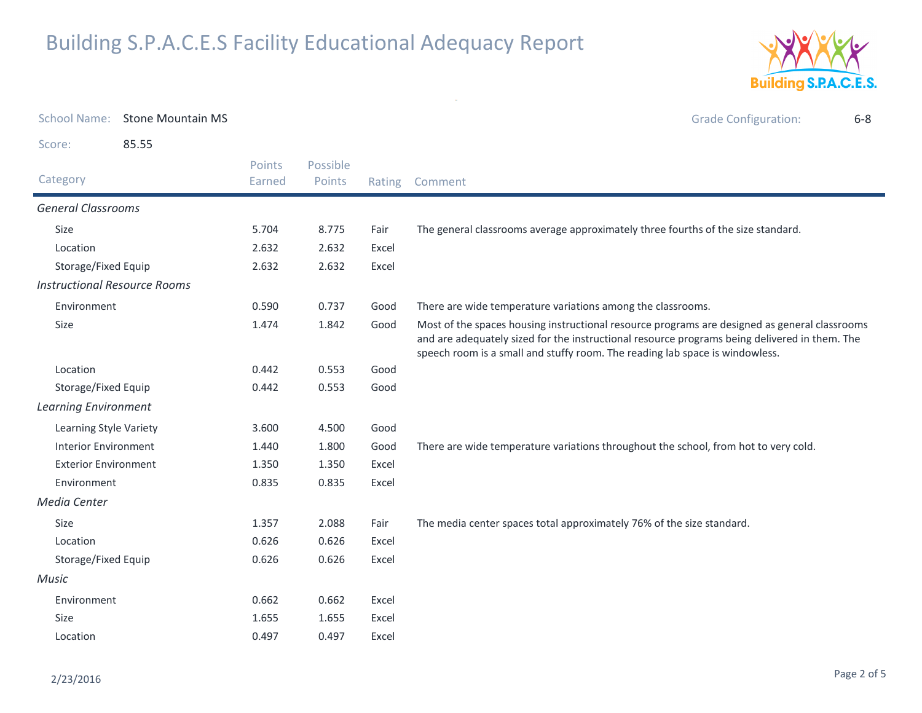

| <b>School Name:</b>                 | <b>Stone Mountain MS</b> |                  |                    |        | <b>Grade Configuration:</b><br>$6 - 8$                                                                                                                                                                                                                                         |
|-------------------------------------|--------------------------|------------------|--------------------|--------|--------------------------------------------------------------------------------------------------------------------------------------------------------------------------------------------------------------------------------------------------------------------------------|
| Score:                              | 85.55                    |                  |                    |        |                                                                                                                                                                                                                                                                                |
| Category                            |                          | Points<br>Earned | Possible<br>Points | Rating | Comment                                                                                                                                                                                                                                                                        |
| <b>General Classrooms</b>           |                          |                  |                    |        |                                                                                                                                                                                                                                                                                |
| <b>Size</b>                         |                          | 5.704            | 8.775              | Fair   | The general classrooms average approximately three fourths of the size standard.                                                                                                                                                                                               |
| Location                            |                          | 2.632            | 2.632              | Excel  |                                                                                                                                                                                                                                                                                |
| Storage/Fixed Equip                 |                          | 2.632            | 2.632              | Excel  |                                                                                                                                                                                                                                                                                |
| <b>Instructional Resource Rooms</b> |                          |                  |                    |        |                                                                                                                                                                                                                                                                                |
| Environment                         |                          | 0.590            | 0.737              | Good   | There are wide temperature variations among the classrooms.                                                                                                                                                                                                                    |
| Size                                |                          | 1.474            | 1.842              | Good   | Most of the spaces housing instructional resource programs are designed as general classrooms<br>and are adequately sized for the instructional resource programs being delivered in them. The<br>speech room is a small and stuffy room. The reading lab space is windowless. |
| Location                            |                          | 0.442            | 0.553              | Good   |                                                                                                                                                                                                                                                                                |
| Storage/Fixed Equip                 |                          | 0.442            | 0.553              | Good   |                                                                                                                                                                                                                                                                                |
| <b>Learning Environment</b>         |                          |                  |                    |        |                                                                                                                                                                                                                                                                                |
| Learning Style Variety              |                          | 3.600            | 4.500              | Good   |                                                                                                                                                                                                                                                                                |
| <b>Interior Environment</b>         |                          | 1.440            | 1.800              | Good   | There are wide temperature variations throughout the school, from hot to very cold.                                                                                                                                                                                            |
| <b>Exterior Environment</b>         |                          | 1.350            | 1.350              | Excel  |                                                                                                                                                                                                                                                                                |
| Environment                         |                          | 0.835            | 0.835              | Excel  |                                                                                                                                                                                                                                                                                |
| Media Center                        |                          |                  |                    |        |                                                                                                                                                                                                                                                                                |
| Size                                |                          | 1.357            | 2.088              | Fair   | The media center spaces total approximately 76% of the size standard.                                                                                                                                                                                                          |
| Location                            |                          | 0.626            | 0.626              | Excel  |                                                                                                                                                                                                                                                                                |
| Storage/Fixed Equip                 |                          | 0.626            | 0.626              | Excel  |                                                                                                                                                                                                                                                                                |
| Music                               |                          |                  |                    |        |                                                                                                                                                                                                                                                                                |
| Environment                         |                          | 0.662            | 0.662              | Excel  |                                                                                                                                                                                                                                                                                |
| Size                                |                          | 1.655            | 1.655              | Excel  |                                                                                                                                                                                                                                                                                |
| Location                            |                          | 0.497            | 0.497              | Excel  |                                                                                                                                                                                                                                                                                |

 $\sim$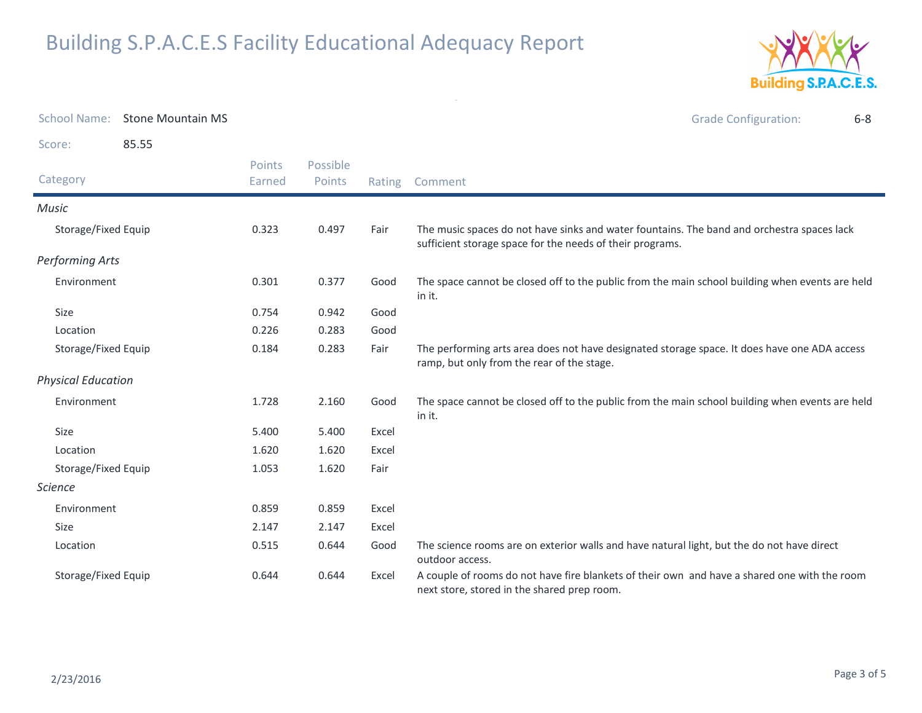

| <b>School Name:</b>       | <b>Stone Mountain MS</b> |                  |                    |        | <b>Grade Configuration:</b><br>$6 - 8$                                                                                                                  |
|---------------------------|--------------------------|------------------|--------------------|--------|---------------------------------------------------------------------------------------------------------------------------------------------------------|
| Score:                    | 85.55                    |                  |                    |        |                                                                                                                                                         |
| Category                  |                          | Points<br>Earned | Possible<br>Points | Rating | Comment                                                                                                                                                 |
| <b>Music</b>              |                          |                  |                    |        |                                                                                                                                                         |
| Storage/Fixed Equip       |                          | 0.323            | 0.497              | Fair   | The music spaces do not have sinks and water fountains. The band and orchestra spaces lack<br>sufficient storage space for the needs of their programs. |
| <b>Performing Arts</b>    |                          |                  |                    |        |                                                                                                                                                         |
| Environment               |                          | 0.301            | 0.377              | Good   | The space cannot be closed off to the public from the main school building when events are held<br>in it.                                               |
| Size                      |                          | 0.754            | 0.942              | Good   |                                                                                                                                                         |
| Location                  |                          | 0.226            | 0.283              | Good   |                                                                                                                                                         |
| Storage/Fixed Equip       |                          | 0.184            | 0.283              | Fair   | The performing arts area does not have designated storage space. It does have one ADA access<br>ramp, but only from the rear of the stage.              |
| <b>Physical Education</b> |                          |                  |                    |        |                                                                                                                                                         |
| Environment               |                          | 1.728            | 2.160              | Good   | The space cannot be closed off to the public from the main school building when events are held<br>in it.                                               |
| Size                      |                          | 5.400            | 5.400              | Excel  |                                                                                                                                                         |
| Location                  |                          | 1.620            | 1.620              | Excel  |                                                                                                                                                         |
| Storage/Fixed Equip       |                          | 1.053            | 1.620              | Fair   |                                                                                                                                                         |
| <b>Science</b>            |                          |                  |                    |        |                                                                                                                                                         |
| Environment               |                          | 0.859            | 0.859              | Excel  |                                                                                                                                                         |
| Size                      |                          | 2.147            | 2.147              | Excel  |                                                                                                                                                         |
| Location                  |                          | 0.515            | 0.644              | Good   | The science rooms are on exterior walls and have natural light, but the do not have direct<br>outdoor access.                                           |
| Storage/Fixed Equip       |                          | 0.644            | 0.644              | Excel  | A couple of rooms do not have fire blankets of their own and have a shared one with the room<br>next store, stored in the shared prep room.             |

 $\mathcal{A}(\mathcal{A})$  and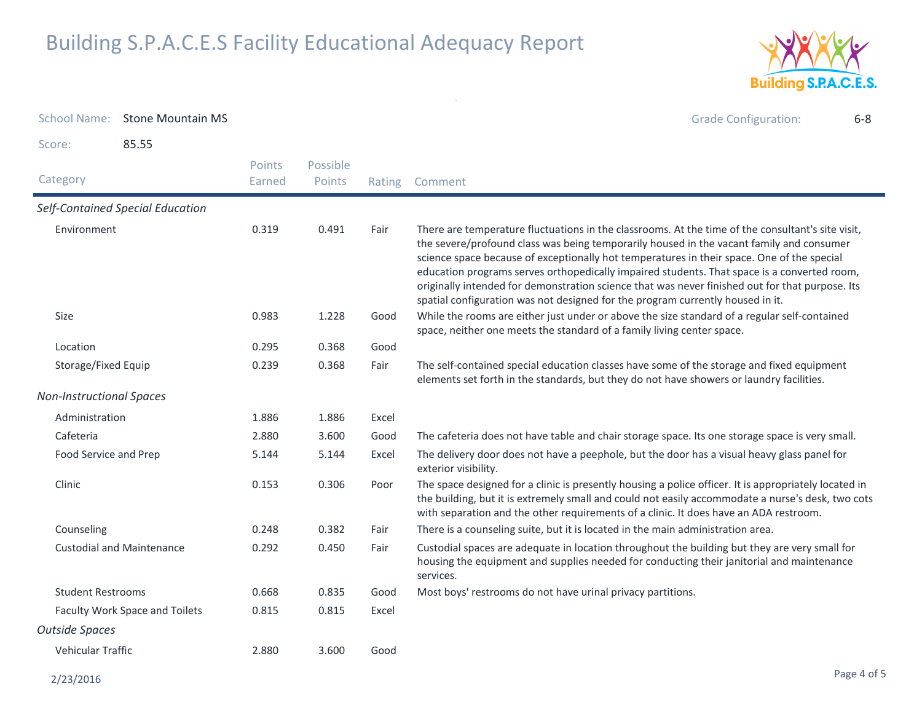

| <b>School Name:</b>             | <b>Stone Mountain MS</b>         |                  |                    |        | <b>Grade Configuration:</b><br>$6 - 8$                                                                                                                                                                                                                                                                                                                                                                                                                                                                                                                                          |
|---------------------------------|----------------------------------|------------------|--------------------|--------|---------------------------------------------------------------------------------------------------------------------------------------------------------------------------------------------------------------------------------------------------------------------------------------------------------------------------------------------------------------------------------------------------------------------------------------------------------------------------------------------------------------------------------------------------------------------------------|
| Score:                          | 85.55                            |                  |                    |        |                                                                                                                                                                                                                                                                                                                                                                                                                                                                                                                                                                                 |
| Category                        |                                  | Points<br>Earned | Possible<br>Points | Rating | Comment                                                                                                                                                                                                                                                                                                                                                                                                                                                                                                                                                                         |
|                                 | Self-Contained Special Education |                  |                    |        |                                                                                                                                                                                                                                                                                                                                                                                                                                                                                                                                                                                 |
| Environment                     |                                  | 0.319            | 0.491              | Fair   | There are temperature fluctuations in the classrooms. At the time of the consultant's site visit,<br>the severe/profound class was being temporarily housed in the vacant family and consumer<br>science space because of exceptionally hot temperatures in their space. One of the special<br>education programs serves orthopedically impaired students. That space is a converted room,<br>originally intended for demonstration science that was never finished out for that purpose. Its<br>spatial configuration was not designed for the program currently housed in it. |
| Size                            |                                  | 0.983            | 1.228              | Good   | While the rooms are either just under or above the size standard of a regular self-contained<br>space, neither one meets the standard of a family living center space.                                                                                                                                                                                                                                                                                                                                                                                                          |
| Location                        |                                  | 0.295            | 0.368              | Good   |                                                                                                                                                                                                                                                                                                                                                                                                                                                                                                                                                                                 |
| Storage/Fixed Equip             |                                  | 0.239            | 0.368              | Fair   | The self-contained special education classes have some of the storage and fixed equipment<br>elements set forth in the standards, but they do not have showers or laundry facilities.                                                                                                                                                                                                                                                                                                                                                                                           |
| <b>Non-Instructional Spaces</b> |                                  |                  |                    |        |                                                                                                                                                                                                                                                                                                                                                                                                                                                                                                                                                                                 |
| Administration                  |                                  | 1.886            | 1.886              | Excel  |                                                                                                                                                                                                                                                                                                                                                                                                                                                                                                                                                                                 |
| Cafeteria                       |                                  | 2.880            | 3.600              | Good   | The cafeteria does not have table and chair storage space. Its one storage space is very small.                                                                                                                                                                                                                                                                                                                                                                                                                                                                                 |
| Food Service and Prep           |                                  | 5.144            | 5.144              | Excel  | The delivery door does not have a peephole, but the door has a visual heavy glass panel for<br>exterior visibility.                                                                                                                                                                                                                                                                                                                                                                                                                                                             |
| Clinic                          |                                  | 0.153            | 0.306              | Poor   | The space designed for a clinic is presently housing a police officer. It is appropriately located in<br>the building, but it is extremely small and could not easily accommodate a nurse's desk, two cots<br>with separation and the other requirements of a clinic. It does have an ADA restroom.                                                                                                                                                                                                                                                                             |
| Counseling                      |                                  | 0.248            | 0.382              | Fair   | There is a counseling suite, but it is located in the main administration area.                                                                                                                                                                                                                                                                                                                                                                                                                                                                                                 |
|                                 | <b>Custodial and Maintenance</b> | 0.292            | 0.450              | Fair   | Custodial spaces are adequate in location throughout the building but they are very small for<br>housing the equipment and supplies needed for conducting their janitorial and maintenance<br>services.                                                                                                                                                                                                                                                                                                                                                                         |
| <b>Student Restrooms</b>        |                                  | 0.668            | 0.835              | Good   | Most boys' restrooms do not have urinal privacy partitions.                                                                                                                                                                                                                                                                                                                                                                                                                                                                                                                     |
| Faculty Work Space and Toilets  |                                  | 0.815            | 0.815              | Excel  |                                                                                                                                                                                                                                                                                                                                                                                                                                                                                                                                                                                 |
| <b>Outside Spaces</b>           |                                  |                  |                    |        |                                                                                                                                                                                                                                                                                                                                                                                                                                                                                                                                                                                 |
| Vehicular Traffic               |                                  | 2.880            | 3.600              | Good   |                                                                                                                                                                                                                                                                                                                                                                                                                                                                                                                                                                                 |

 $\sim$